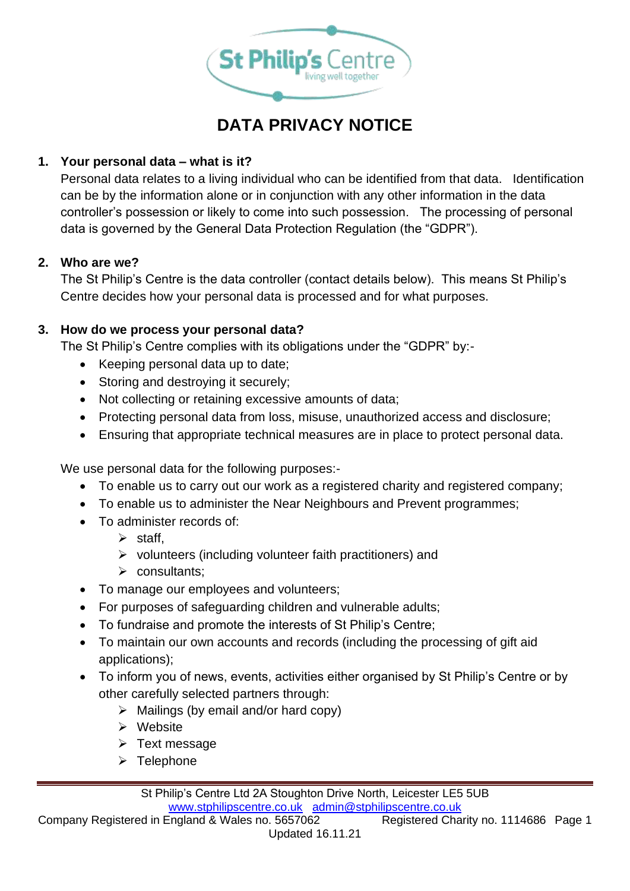

# **DATA PRIVACY NOTICE**

## **1. Your personal data – what is it?**

Personal data relates to a living individual who can be identified from that data. Identification can be by the information alone or in conjunction with any other information in the data controller's possession or likely to come into such possession. The processing of personal data is governed by the General Data Protection Regulation (the "GDPR").

## **2. Who are we?**

The St Philip's Centre is the data controller (contact details below). This means St Philip's Centre decides how your personal data is processed and for what purposes.

### **3. How do we process your personal data?**

The St Philip's Centre complies with its obligations under the "GDPR" by:-

- Keeping personal data up to date;
- Storing and destroying it securely;
- Not collecting or retaining excessive amounts of data;
- Protecting personal data from loss, misuse, unauthorized access and disclosure;
- Ensuring that appropriate technical measures are in place to protect personal data.

We use personal data for the following purposes:-

- To enable us to carry out our work as a registered charity and registered company;
- To enable us to administer the Near Neighbours and Prevent programmes;
- To administer records of:
	- $\triangleright$  staff,
	- ➢ volunteers (including volunteer faith practitioners) and
	- ➢ consultants;
- To manage our employees and volunteers;
- For purposes of safeguarding children and vulnerable adults;
- To fundraise and promote the interests of St Philip's Centre;
- To maintain our own accounts and records (including the processing of gift aid applications);
- To inform you of news, events, activities either organised by St Philip's Centre or by other carefully selected partners through:
	- $\triangleright$  Mailings (by email and/or hard copy)
	- ➢ Website
	- ➢ Text message
	- ➢ Telephone

St Philip's Centre Ltd 2A Stoughton Drive North, Leicester LE5 5UB [www.stphilipscentre.co.uk](http://www.stphilipscentre.co.uk/) [admin@stphilipscentre.co.uk](mailto:admin@stphilipscentre.co.uk)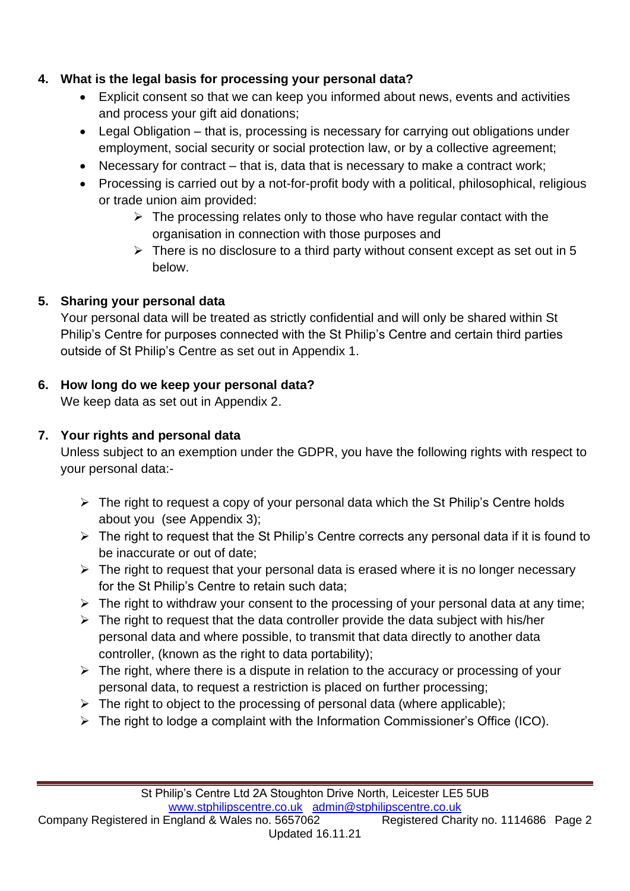## **4. What is the legal basis for processing your personal data?**

- Explicit consent so that we can keep you informed about news, events and activities and process your gift aid donations;
- Legal Obligation that is, processing is necessary for carrying out obligations under employment, social security or social protection law, or by a collective agreement;
- Necessary for contract that is, data that is necessary to make a contract work;
- Processing is carried out by a not-for-profit body with a political, philosophical, religious or trade union aim provided:
	- $\triangleright$  The processing relates only to those who have regular contact with the organisation in connection with those purposes and
	- $\triangleright$  There is no disclosure to a third party without consent except as set out in 5 below.

## **5. Sharing your personal data**

Your personal data will be treated as strictly confidential and will only be shared within St Philip's Centre for purposes connected with the St Philip's Centre and certain third parties outside of St Philip's Centre as set out in Appendix 1.

## **6. How long do we keep your personal data?**

We keep data as set out in Appendix 2.

## **7. Your rights and personal data**

Unless subject to an exemption under the GDPR, you have the following rights with respect to your personal data:-

- $\triangleright$  The right to request a copy of your personal data which the St Philip's Centre holds about you (see Appendix 3);
- $\triangleright$  The right to request that the St Philip's Centre corrects any personal data if it is found to be inaccurate or out of date;
- $\triangleright$  The right to request that your personal data is erased where it is no longer necessary for the St Philip's Centre to retain such data;
- $\triangleright$  The right to withdraw your consent to the processing of your personal data at any time;
- $\triangleright$  The right to request that the data controller provide the data subject with his/her personal data and where possible, to transmit that data directly to another data controller, (known as the right to data portability);
- $\triangleright$  The right, where there is a dispute in relation to the accuracy or processing of your personal data, to request a restriction is placed on further processing;
- $\triangleright$  The right to object to the processing of personal data (where applicable);
- ➢ The right to lodge a complaint with the Information Commissioner's Office (ICO).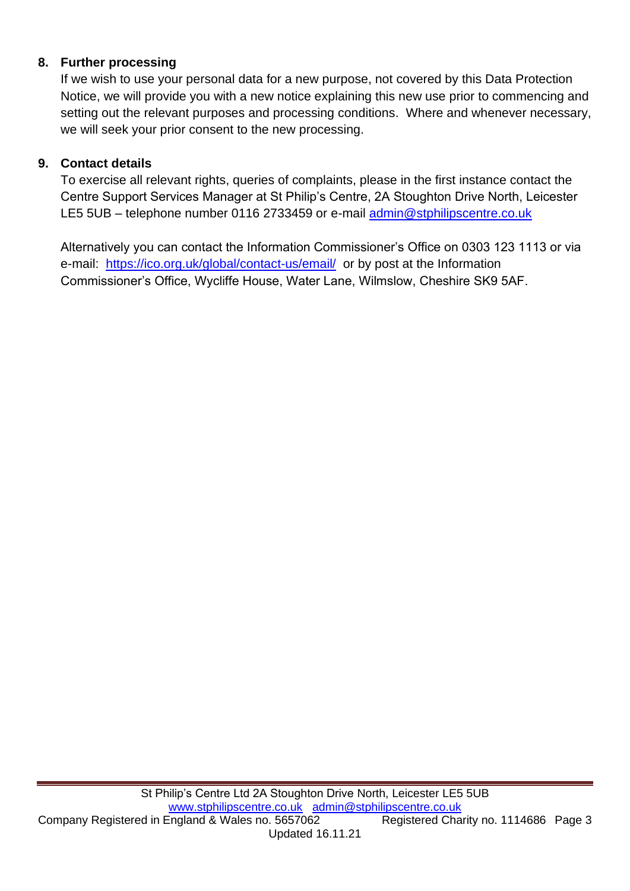### **8. Further processing**

If we wish to use your personal data for a new purpose, not covered by this Data Protection Notice, we will provide you with a new notice explaining this new use prior to commencing and setting out the relevant purposes and processing conditions. Where and whenever necessary, we will seek your prior consent to the new processing.

### **9. Contact details**

To exercise all relevant rights, queries of complaints, please in the first instance contact the Centre Support Services Manager at St Philip's Centre, 2A Stoughton Drive North, Leicester LE5 5UB – telephone number 0116 2733459 or e-mail [admin@stphilipscentre.co.uk](mailto:admin@stphilipscentre.co.uk)

Alternatively you can contact the Information Commissioner's Office on 0303 123 1113 or via e-mail: <https://ico.org.uk/global/contact-us/email/>or by post at the Information Commissioner's Office, Wycliffe House, Water Lane, Wilmslow, Cheshire SK9 5AF.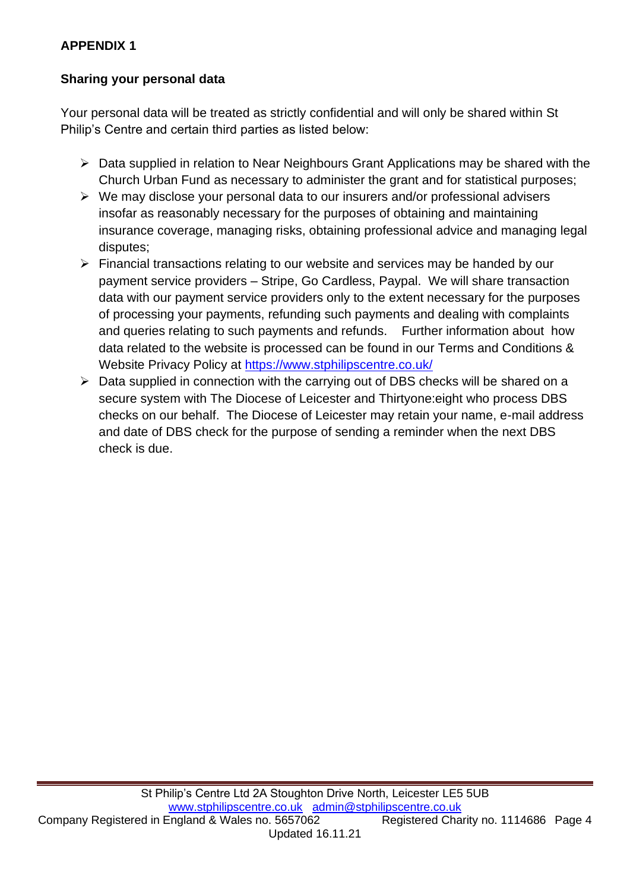## **APPENDIX 1**

## **Sharing your personal data**

Your personal data will be treated as strictly confidential and will only be shared within St Philip's Centre and certain third parties as listed below:

- ➢ Data supplied in relation to Near Neighbours Grant Applications may be shared with the Church Urban Fund as necessary to administer the grant and for statistical purposes;
- ➢ We may disclose your personal data to our insurers and/or professional advisers insofar as reasonably necessary for the purposes of obtaining and maintaining insurance coverage, managing risks, obtaining professional advice and managing legal disputes;
- ➢ Financial transactions relating to our website and services may be handed by our payment service providers – Stripe, Go Cardless, Paypal. We will share transaction data with our payment service providers only to the extent necessary for the purposes of processing your payments, refunding such payments and dealing with complaints and queries relating to such payments and refunds. Further information about how data related to the website is processed can be found in our Terms and Conditions & Website Privacy Policy at<https://www.stphilipscentre.co.uk/>
- ➢ Data supplied in connection with the carrying out of DBS checks will be shared on a secure system with The Diocese of Leicester and Thirtyone:eight who process DBS checks on our behalf. The Diocese of Leicester may retain your name, e-mail address and date of DBS check for the purpose of sending a reminder when the next DBS check is due.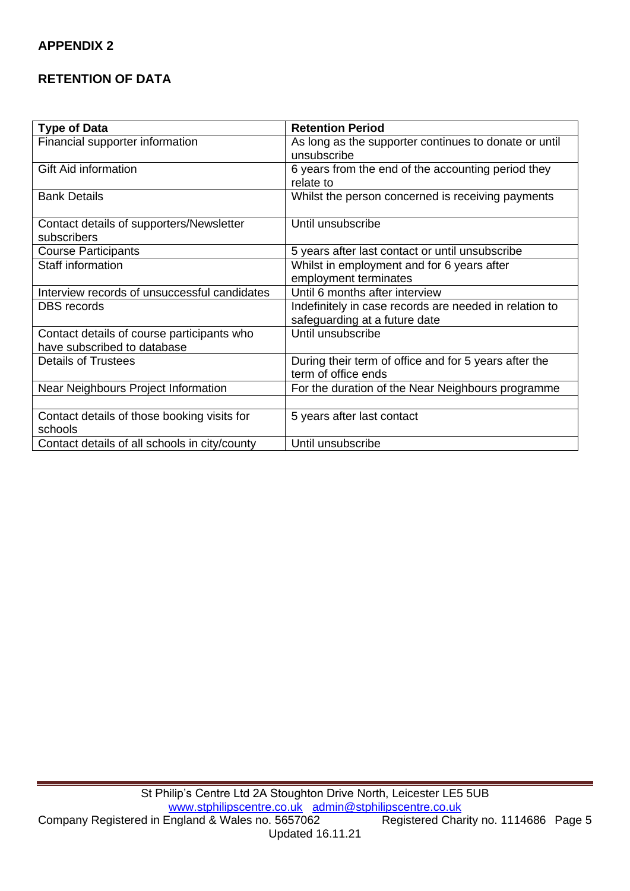#### **APPENDIX 2**

## **RETENTION OF DATA**

| <b>Type of Data</b>                                    | <b>Retention Period</b>                                |
|--------------------------------------------------------|--------------------------------------------------------|
| Financial supporter information                        | As long as the supporter continues to donate or until  |
|                                                        | unsubscribe                                            |
| <b>Gift Aid information</b>                            | 6 years from the end of the accounting period they     |
|                                                        | relate to                                              |
| <b>Bank Details</b>                                    | Whilst the person concerned is receiving payments      |
| Contact details of supporters/Newsletter               | Until unsubscribe                                      |
| subscribers                                            |                                                        |
| <b>Course Participants</b>                             | 5 years after last contact or until unsubscribe        |
| <b>Staff information</b>                               | Whilst in employment and for 6 years after             |
|                                                        | employment terminates                                  |
| Interview records of unsuccessful candidates           | Until 6 months after interview                         |
| <b>DBS</b> records                                     | Indefinitely in case records are needed in relation to |
|                                                        | safeguarding at a future date                          |
| Contact details of course participants who             | Until unsubscribe                                      |
| have subscribed to database                            |                                                        |
| <b>Details of Trustees</b>                             | During their term of office and for 5 years after the  |
|                                                        | term of office ends                                    |
| Near Neighbours Project Information                    | For the duration of the Near Neighbours programme      |
|                                                        |                                                        |
| Contact details of those booking visits for<br>schools | 5 years after last contact                             |
| Contact details of all schools in city/county          | Until unsubscribe                                      |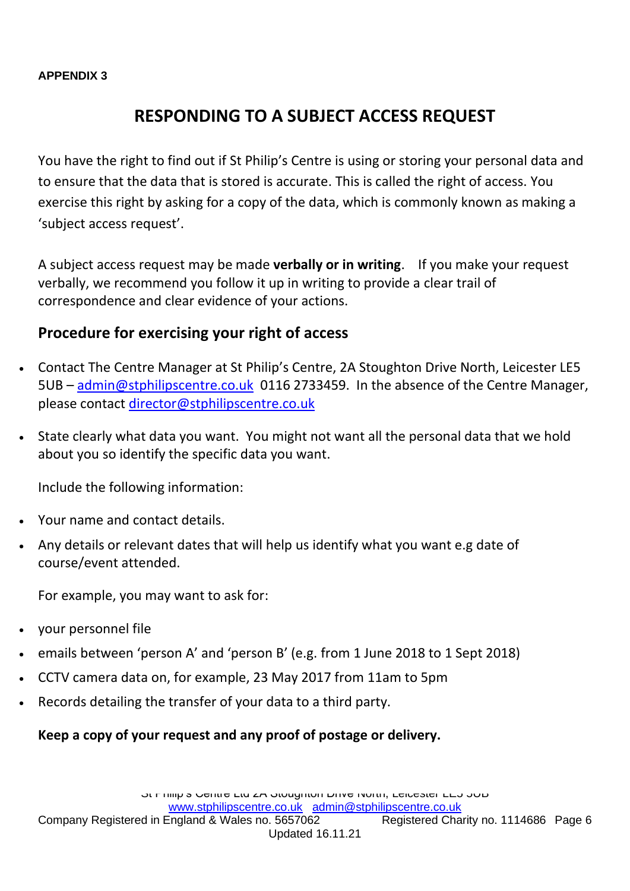#### **APPENDIX 3**

## **RESPONDING TO A SUBJECT ACCESS REQUEST**

You have the right to find out if St Philip's Centre is using or storing your personal data and to ensure that the data that is stored is accurate. This is called the right of access. You exercise this right by asking for a copy of the data, which is commonly known as making a 'subject access request'.

A subject access request may be made **verbally or in writing**. If you make your request verbally, we recommend you follow it up in writing to provide a clear trail of correspondence and clear evidence of your actions.

## **Procedure for exercising your right of access**

- Contact The Centre Manager at St Philip's Centre, 2A Stoughton Drive North, Leicester LE5 5UB – [admin@stphilipscentre.co.uk](mailto:admin@stphilipscentre.co.uk) 0116 2733459. In the absence of the Centre Manager, please contact [director@stphilipscentre.co.uk](mailto:director@stphilipscentre.co.uk)
- State clearly what data you want. You might not want all the personal data that we hold about you so identify the specific data you want.

Include the following information:

- Your name and contact details.
- Any details or relevant dates that will help us identify what you want e.g date of course/event attended.

For example, you may want to ask for:

- your personnel file
- emails between 'person A' and 'person B' (e.g. from 1 June 2018 to 1 Sept 2018)
- CCTV camera data on, for example, 23 May 2017 from 11am to 5pm
- Records detailing the transfer of your data to a third party.

## **Keep a copy of your request and any proof of postage or delivery.**

Company Registered in England & Wales no. 5657062 Registered Charity no. 1114686 Page 6 Updated 16.11.21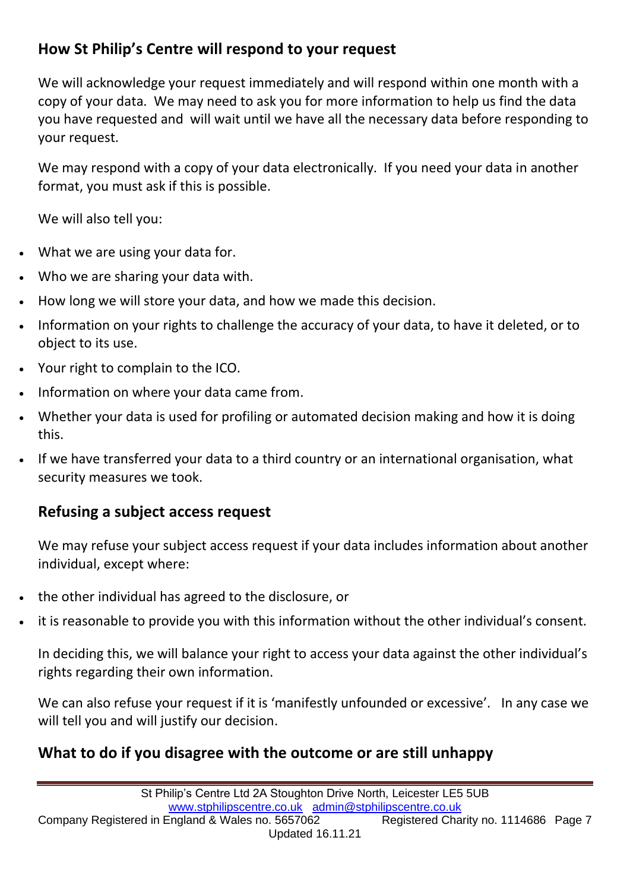## **How St Philip's Centre will respond to your request**

We will acknowledge your request immediately and will respond within one month with a copy of your data. We may need to ask you for more information to help us find the data you have requested and will wait until we have all the necessary data before responding to your request.

We may respond with a copy of your data electronically. If you need your data in another format, you must ask if this is possible.

We will also tell you:

- What we are using your data for.
- Who we are sharing your data with.
- How long we will store your data, and how we made this decision.
- Information on your rights to challenge the accuracy of your data, to have it deleted, or to object to its use.
- Your right to complain to the ICO.
- Information on where your data came from.
- Whether your data is used for profiling or automated decision making and how it is doing this.
- If we have transferred your data to a third country or an international organisation, what security measures we took.

## **Refusing a subject access request**

We may refuse your subject access request if your data includes information about another individual, except where:

- the other individual has agreed to the disclosure, or
- it is reasonable to provide you with this information without the other individual's consent.

In deciding this, we will balance your right to access your data against the other individual's rights regarding their own information.

We can also refuse your request if it is 'manifestly unfounded or excessive'. In any case we will tell you and will justify our decision.

## **What to do if you disagree with the outcome or are still unhappy**